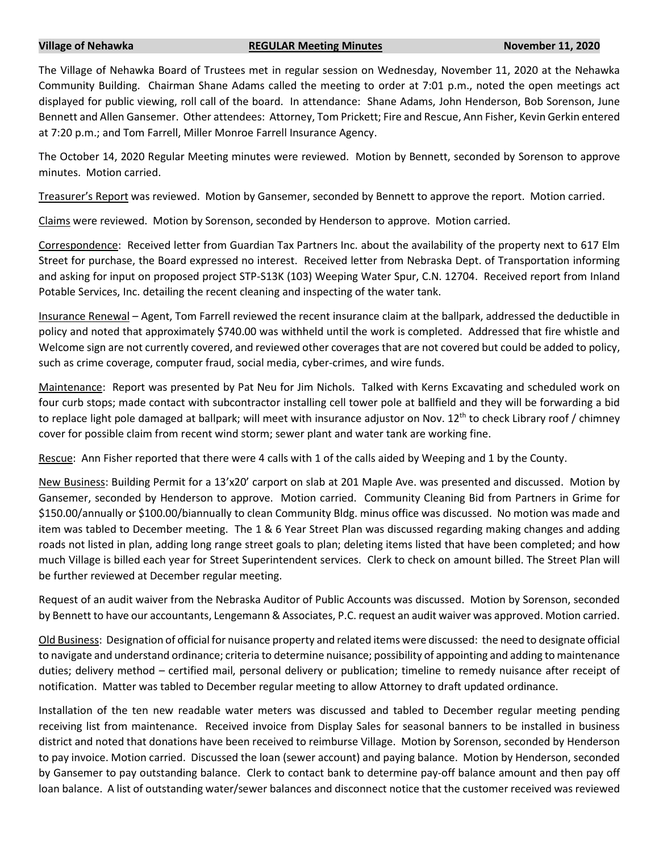## **Village of Nehawka REGULAR Meeting Minutes November 11, 2020**

The Village of Nehawka Board of Trustees met in regular session on Wednesday, November 11, 2020 at the Nehawka Community Building. Chairman Shane Adams called the meeting to order at 7:01 p.m., noted the open meetings act displayed for public viewing, roll call of the board. In attendance: Shane Adams, John Henderson, Bob Sorenson, June Bennett and Allen Gansemer. Other attendees: Attorney, Tom Prickett; Fire and Rescue, Ann Fisher, Kevin Gerkin entered at 7:20 p.m.; and Tom Farrell, Miller Monroe Farrell Insurance Agency.

The October 14, 2020 Regular Meeting minutes were reviewed. Motion by Bennett, seconded by Sorenson to approve minutes. Motion carried.

Treasurer's Report was reviewed. Motion by Gansemer, seconded by Bennett to approve the report. Motion carried.

Claims were reviewed. Motion by Sorenson, seconded by Henderson to approve. Motion carried.

Correspondence: Received letter from Guardian Tax Partners Inc. about the availability of the property next to 617 Elm Street for purchase, the Board expressed no interest. Received letter from Nebraska Dept. of Transportation informing and asking for input on proposed project STP-S13K (103) Weeping Water Spur, C.N. 12704. Received report from Inland Potable Services, Inc. detailing the recent cleaning and inspecting of the water tank.

Insurance Renewal – Agent, Tom Farrell reviewed the recent insurance claim at the ballpark, addressed the deductible in policy and noted that approximately \$740.00 was withheld until the work is completed. Addressed that fire whistle and Welcome sign are not currently covered, and reviewed other coverages that are not covered but could be added to policy, such as crime coverage, computer fraud, social media, cyber-crimes, and wire funds.

Maintenance: Report was presented by Pat Neu for Jim Nichols. Talked with Kerns Excavating and scheduled work on four curb stops; made contact with subcontractor installing cell tower pole at ballfield and they will be forwarding a bid to replace light pole damaged at ballpark; will meet with insurance adjustor on Nov.  $12^{th}$  to check Library roof / chimney cover for possible claim from recent wind storm; sewer plant and water tank are working fine.

Rescue: Ann Fisher reported that there were 4 calls with 1 of the calls aided by Weeping and 1 by the County.

New Business: Building Permit for a 13'x20' carport on slab at 201 Maple Ave. was presented and discussed. Motion by Gansemer, seconded by Henderson to approve. Motion carried. Community Cleaning Bid from Partners in Grime for \$150.00/annually or \$100.00/biannually to clean Community Bldg. minus office was discussed. No motion was made and item was tabled to December meeting. The 1 & 6 Year Street Plan was discussed regarding making changes and adding roads not listed in plan, adding long range street goals to plan; deleting items listed that have been completed; and how much Village is billed each year for Street Superintendent services. Clerk to check on amount billed. The Street Plan will be further reviewed at December regular meeting.

Request of an audit waiver from the Nebraska Auditor of Public Accounts was discussed. Motion by Sorenson, seconded by Bennett to have our accountants, Lengemann & Associates, P.C. request an audit waiver was approved. Motion carried.

Old Business: Designation of official for nuisance property and related items were discussed: the need to designate official to navigate and understand ordinance; criteria to determine nuisance; possibility of appointing and adding to maintenance duties; delivery method – certified mail, personal delivery or publication; timeline to remedy nuisance after receipt of notification. Matter was tabled to December regular meeting to allow Attorney to draft updated ordinance.

Installation of the ten new readable water meters was discussed and tabled to December regular meeting pending receiving list from maintenance. Received invoice from Display Sales for seasonal banners to be installed in business district and noted that donations have been received to reimburse Village. Motion by Sorenson, seconded by Henderson to pay invoice. Motion carried. Discussed the loan (sewer account) and paying balance. Motion by Henderson, seconded by Gansemer to pay outstanding balance. Clerk to contact bank to determine pay-off balance amount and then pay off loan balance. A list of outstanding water/sewer balances and disconnect notice that the customer received was reviewed